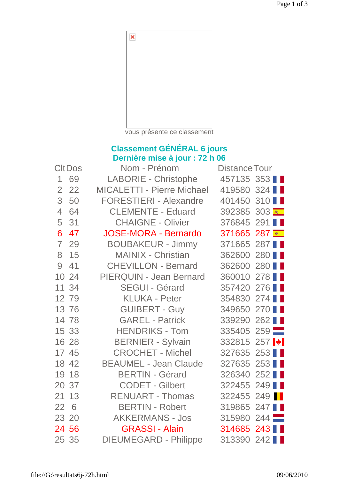

vous présente ce classement

## **Classement GÉNÉRAL 6 jours Dernière mise à jour : 72 h 06**

| <b>CItDos</b>  |       | Nom - Prénom                      | <b>Distance Tour</b>           |  |  |
|----------------|-------|-----------------------------------|--------------------------------|--|--|
| $\mathbf 1$    | 69    | <b>LABORIE - Christophe</b>       | 457135 353                     |  |  |
| $\overline{2}$ | 22    | <b>MICALETTI - Pierre Michael</b> | 419580 324                     |  |  |
| 3              | 50    | <b>FORESTIERI - Alexandre</b>     | 401450 310                     |  |  |
| $\overline{4}$ | 64    | <b>CLEMENTE - Eduard</b>          | 392385 303                     |  |  |
| 5              | 31    | <b>CHAIGNE - Olivier</b>          | 376845 291 ■                   |  |  |
| 6              | 47    | <b>JOSE-MORA - Bernardo</b>       | 371665 287                     |  |  |
| $\overline{7}$ | 29    | <b>BOUBAKEUR - Jimmy</b>          | 371665 287                     |  |  |
| 8              | 15    | <b>MAINIX - Christian</b>         | 362600 280 ■                   |  |  |
| 9              | 41    | <b>CHEVILLON - Bernard</b>        | 362600 280                     |  |  |
|                | 10 24 | <b>PIERQUIN - Jean Bernard</b>    | 360010 278                     |  |  |
|                | 11 34 | <b>SEGUI - Gérard</b>             | 357420 276                     |  |  |
|                | 12 79 | <b>KLUKA - Peter</b>              | 354830 274                     |  |  |
|                | 13 76 | <b>GUIBERT - Guy</b>              | 349650 270                     |  |  |
|                | 14 78 | <b>GAREL - Patrick</b>            | 339290 262                     |  |  |
|                | 15 33 | <b>HENDRIKS - Tom</b>             | 335405 259                     |  |  |
|                | 16 28 | <b>BERNIER - Sylvain</b>          | 332815 257  *                  |  |  |
|                | 17 45 | <b>CROCHET - Michel</b>           | 327635 253                     |  |  |
|                | 18 42 | <b>BEAUMEL - Jean Claude</b>      | 327635 253                     |  |  |
|                | 19 18 | <b>BERTIN - Gérard</b>            | $252$ $\blacksquare$<br>326340 |  |  |
|                | 20 37 | <b>CODET - Gilbert</b>            | 322455 249                     |  |  |
| 21             | 13    | <b>RENUART - Thomas</b>           | 322455 249                     |  |  |
| 22             | 6     | <b>BERTIN - Robert</b>            | 319865 247                     |  |  |
|                | 23 20 | <b>AKKERMANS - Jos</b>            | 315980 244                     |  |  |
|                | 24 56 | <b>GRASSI - Alain</b>             | 314685 243 ■                   |  |  |
|                | 25 35 | <b>DIEUMEGARD - Philippe</b>      | 313390 242                     |  |  |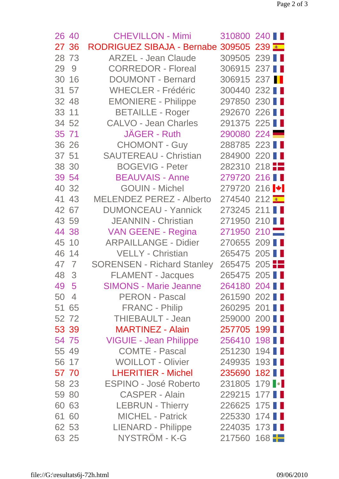| 26 40 | <b>CHEVILLON - Mimi</b>           | 310800 240                       |  |
|-------|-----------------------------------|----------------------------------|--|
| 27 36 | <b>RODRIGUEZ SIBAJA - Bernabe</b> | 309505 239                       |  |
| 28 73 | <b>ARZEL - Jean Claude</b>        | 309505 239                       |  |
| 29 9  | <b>CORREDOR - Floreal</b>         | 306915 237 ■                     |  |
| 30 16 | <b>DOUMONT - Bernard</b>          | 306915 237                       |  |
| 31 57 | <b>WHECLER - Frédéric</b>         | 300440 232                       |  |
| 32 48 | <b>EMONIERE - Philippe</b>        | 297850 230                       |  |
| 33 11 | <b>BETAILLE - Roger</b>           | 292670 226                       |  |
| 34 52 | <b>CALVO - Jean Charles</b>       | 291375 225                       |  |
| 35 71 | JAGER - Ruth                      | 290080 224                       |  |
| 36 26 | <b>CHOMONT - Guy</b>              | 288785 223                       |  |
| 37 51 | <b>SAUTEREAU - Christian</b>      | 284900 220                       |  |
| 38 30 | <b>BOGEVIG - Peter</b>            | 282310 218                       |  |
| 39 54 | <b>BEAUVAIS - Anne</b>            | 279720 216                       |  |
| 40 32 | <b>GOUIN - Michel</b>             | 279720 216 $\blacktriangleright$ |  |
| 41 43 | <b>MELENDEZ PEREZ - Alberto</b>   | 274540 212                       |  |
| 42 67 | <b>DUMONCEAU - Yannick</b>        | 273245 211                       |  |
| 43 59 | <b>JEANNIN - Christian</b>        | 271950 210                       |  |
| 44 38 | VAN GEENE - Regina                | 271950 210                       |  |
| 45 10 | <b>ARPAILLANGE - Didier</b>       | 270655 209                       |  |
| 46 14 | <b>VELLY - Christian</b>          | 265475 205                       |  |
| 47 7  | <b>SORENSEN - Richard Stanley</b> | 265475 205                       |  |
| 48 3  | <b>FLAMENT - Jacques</b>          | 265475 205                       |  |
| 49 5  | <b>SIMONS - Marie Jeanne</b>      | 264180 204                       |  |
| 50 4  | PERON - Pascal                    | 261590 202                       |  |
| 51 65 | <b>FRANC - Philip</b>             | 260295 201                       |  |
| 52 72 | THIEBAULT - Jean                  | 259000 200                       |  |
| 53 39 | <b>MARTINEZ - Alain</b>           | 257705 199 ■                     |  |
| 54 75 | <b>VIGUIE - Jean Philippe</b>     | 256410 198                       |  |
| 55 49 | <b>COMTE - Pascal</b>             | 251230 194                       |  |
| 56 17 | <b>WOILLOT - Olivier</b>          | 249935 193                       |  |
| 57 70 | <b>LHERITIER - Michel</b>         | 235690 182                       |  |
| 58 23 | <b>ESPINO - José Roberto</b>      | 231805 179                       |  |
| 59 80 | <b>CASPER - Alain</b>             | 229215 177                       |  |
| 60 63 | <b>LEBRUN - Thierry</b>           | 226625 175                       |  |
| 61 60 | <b>MICHEL - Patrick</b>           | 225330 174                       |  |
| 62 53 | LIENARD - Philippe                | 224035 173                       |  |
| 63 25 | NYSTRÖM - K-G                     | 217560 168                       |  |